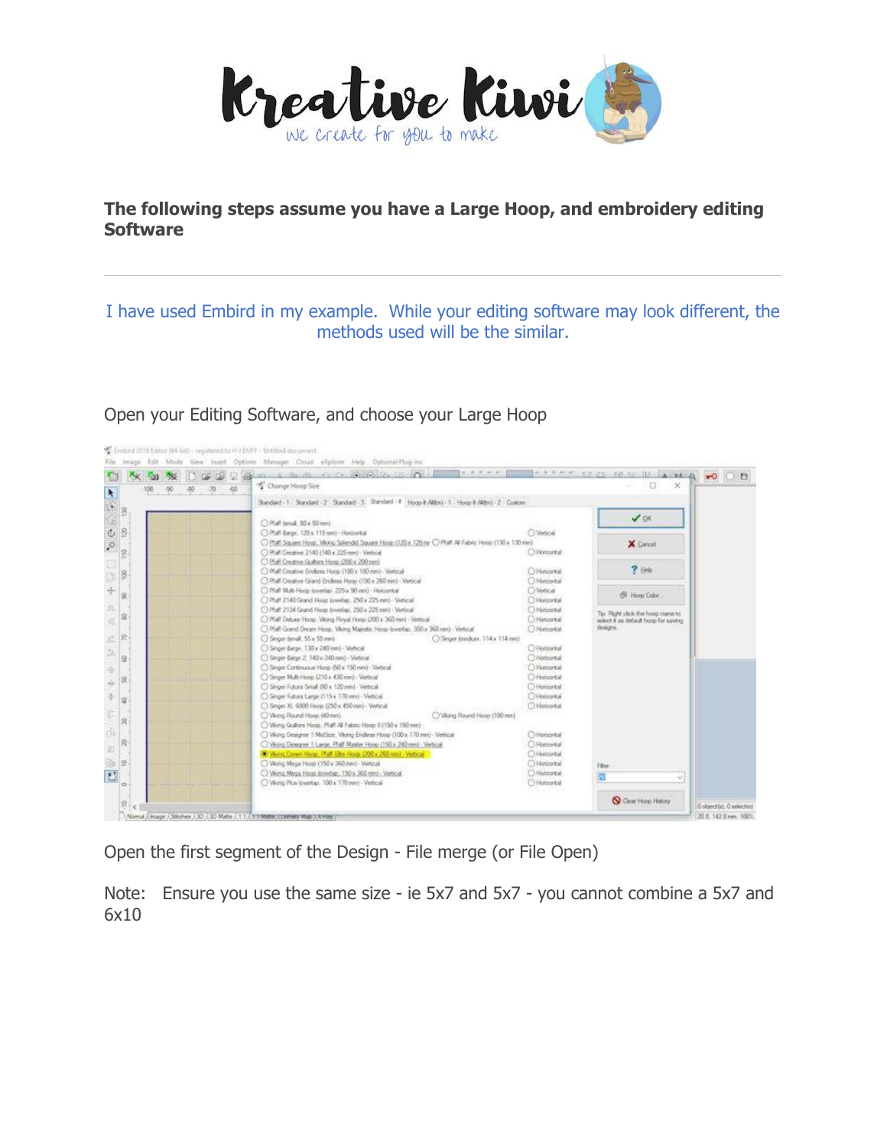

## **The following steps assume you have a Large Hoop, and embroidery editing Software**

## I have used Embird in my example. While your editing software may look different, the methods used will be the similar.

## Open your Editing Software, and choose your Large Hoop



Open the first segment of the Design - File merge (or File Open)

Note: Ensure you use the same size - ie 5x7 and 5x7 - you cannot combine a 5x7 and 6x10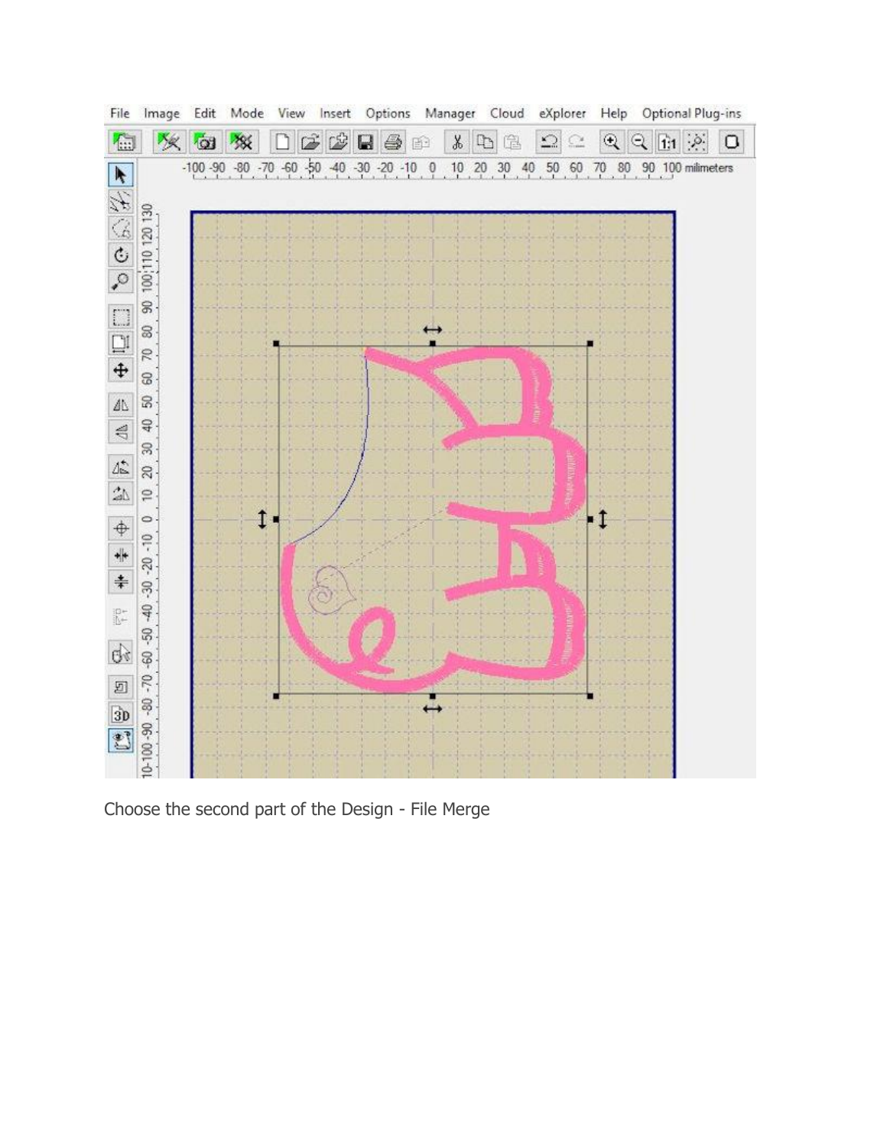

Choose the second part of the Design - File Merge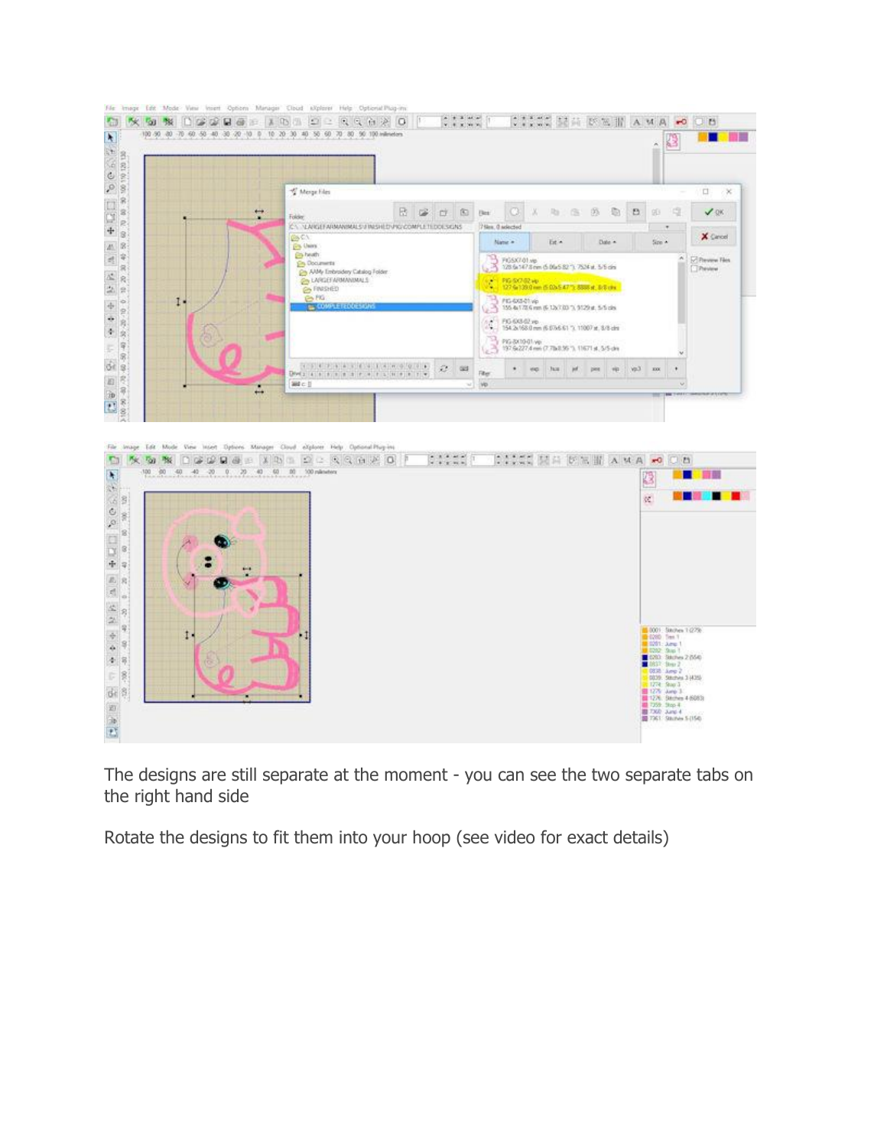

The designs are still separate at the moment - you can see the two separate tabs on the right hand side

Rotate the designs to fit them into your hoop (see video for exact details)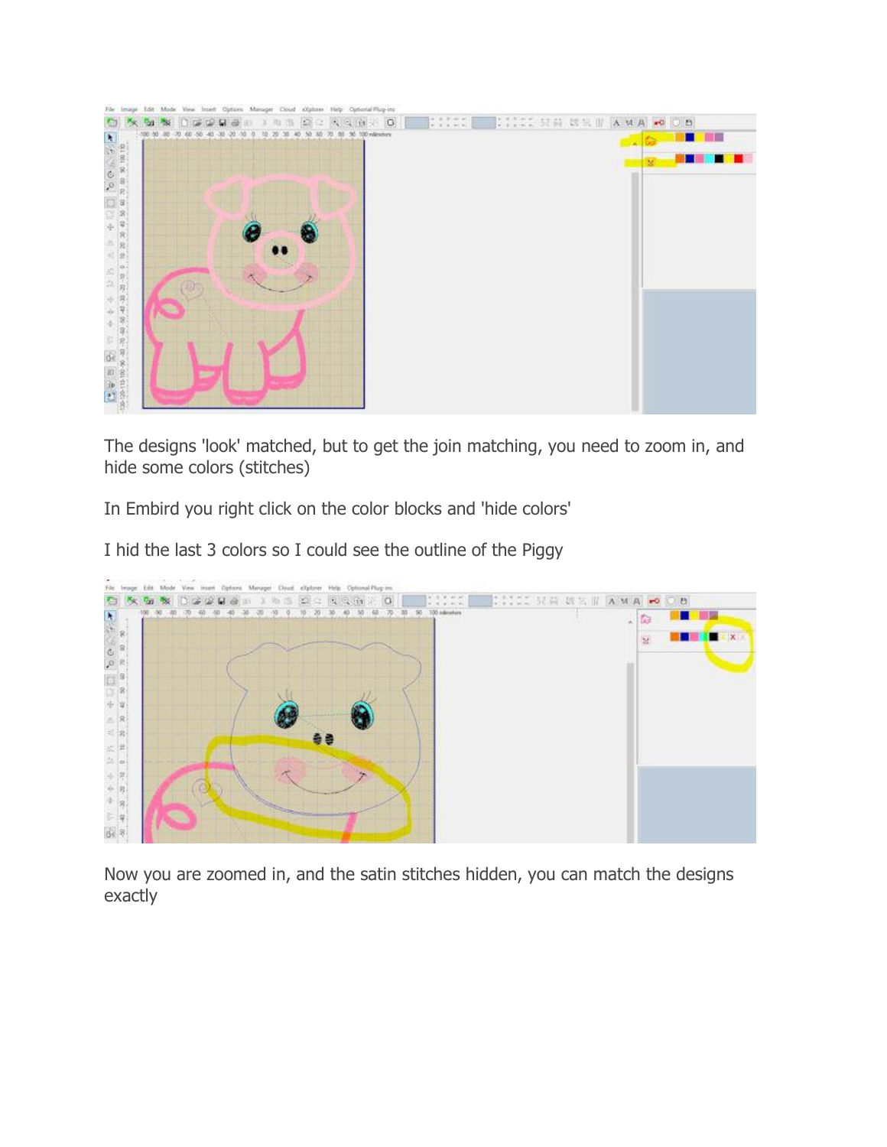

The designs 'look' matched, but to get the join matching, you need to zoom in, and hide some colors (stitches)

In Embird you right click on the color blocks and 'hide colors'

I hid the last 3 colors so I could see the outline of the Piggy



Now you are zoomed in, and the satin stitches hidden, you can match the designs exactly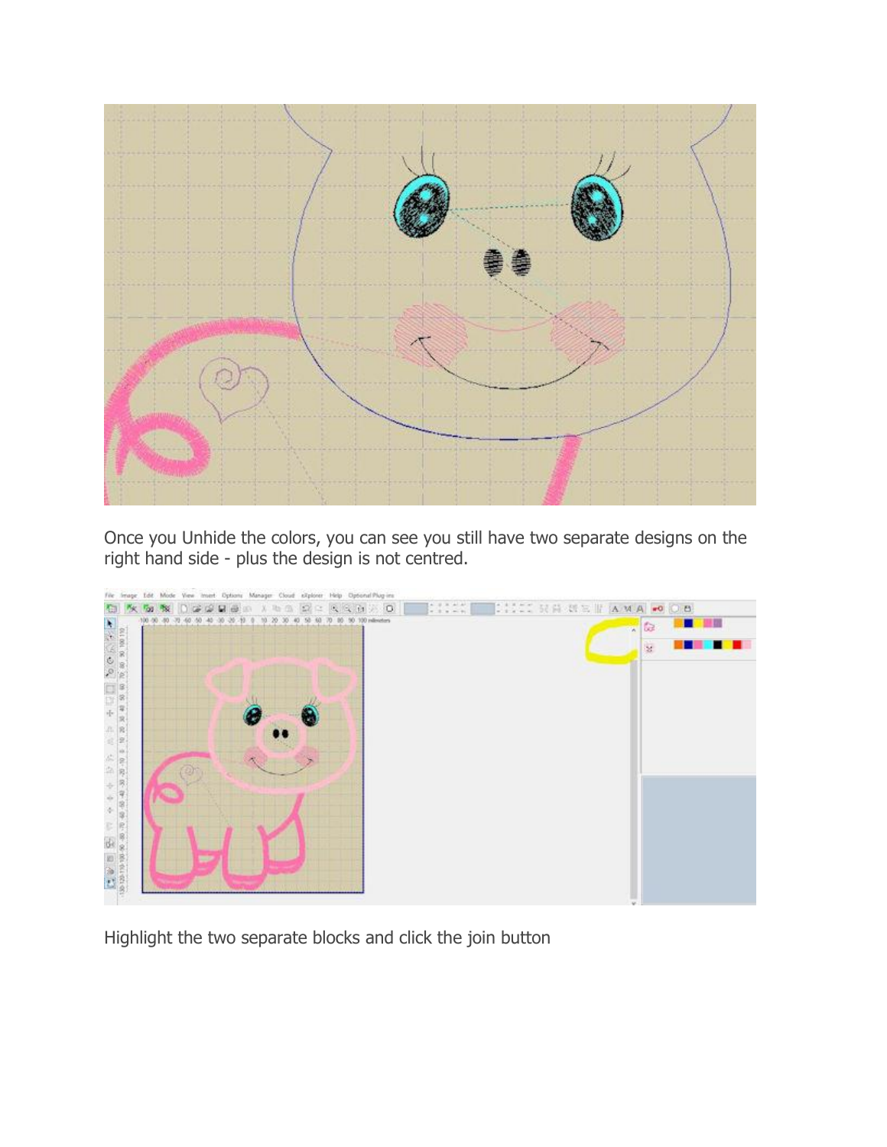

Once you Unhide the colors, you can see you still have two separate designs on the right hand side - plus the design is not centred.



Highlight the two separate blocks and click the join button